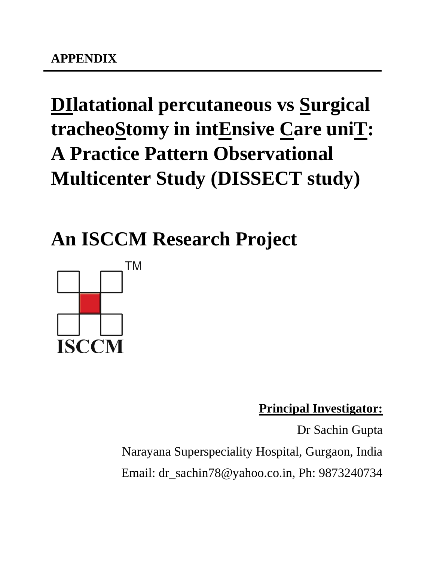# **DIlatational percutaneous vs Surgical tracheoStomy in intEnsive Care uniT: A Practice Pattern Observational Multicenter Study (DISSECT study)**

**An ISCCM Research Project**



**Principal Investigator:**

Dr Sachin Gupta Narayana Superspeciality Hospital, Gurgaon, India Email: dr\_sachin78@yahoo.co.in, Ph: 9873240734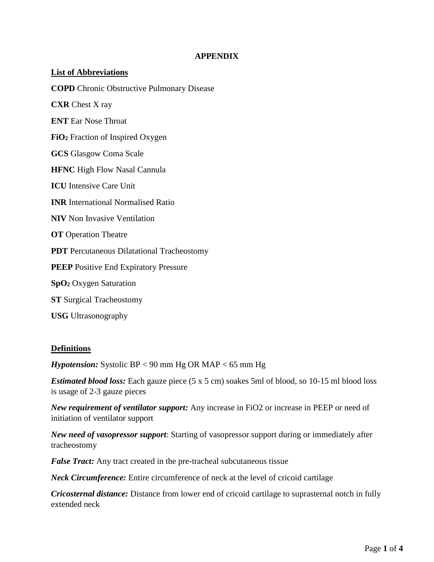#### **APPENDIX**

## **List of Abbreviations COPD** Chronic Obstructive Pulmonary Disease **CXR** Chest X ray **ENT** Ear Nose Throat **FiO<sup>2</sup>** Fraction of Inspired Oxygen **GCS** Glasgow Coma Scale **HFNC** High Flow Nasal Cannula **ICU** Intensive Care Unit **INR** International Normalised Ratio **NIV** Non Invasive Ventilation **OT** Operation Theatre **PDT** Percutaneous Dilatational Tracheostomy **PEEP** Positive End Expiratory Pressure **SpO<sup>2</sup>** Oxygen Saturation **ST** Surgical Tracheostomy **USG** Ultrasonography

#### **Definitions**

*Hypotension:* Systolic BP < 90 mm Hg OR MAP < 65 mm Hg

*Estimated blood loss:* Each gauze piece (5 x 5 cm) soakes 5ml of blood, so 10-15 ml blood loss is usage of 2-3 gauze pieces

*New requirement of ventilator support:* Any increase in FiO2 or increase in PEEP or need of initiation of ventilator support

*New need of vasopressor support*: Starting of vasopressor support during or immediately after tracheostomy

*False Tract:* Any tract created in the pre-tracheal subcutaneous tissue

*Neck Circumference:* Entire circumference of neck at the level of cricoid cartilage

*Cricosternal distance:* Distance from lower end of cricoid cartilage to suprasternal notch in fully extended neck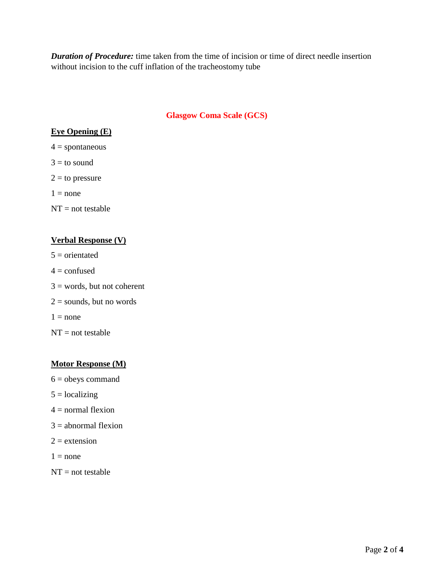*Duration of Procedure:* time taken from the time of incision or time of direct needle insertion without incision to the cuff inflation of the tracheostomy tube

#### **Glasgow Coma Scale (GCS)**

#### **Eye Opening (E)**

 $4 =$ spontaneous

 $3 =$  to sound

 $2 =$  to pressure

 $1 = none$ 

 $NT = not testable$ 

#### **Verbal Response (V)**

 $5$  = orientated  $4 =$ confused  $3 =$  words, but not coherent  $2 =$  sounds, but no words  $1 = none$ 

 $NT = not testable$ 

#### **Motor Response (M)**

- $6 =$  obeys command
- $5 = 1$ ocalizing
- $4 =$  normal flexion
- $3 =$  abnormal flexion
- $2 =$  extension
- $1 = none$
- $NT = not testable$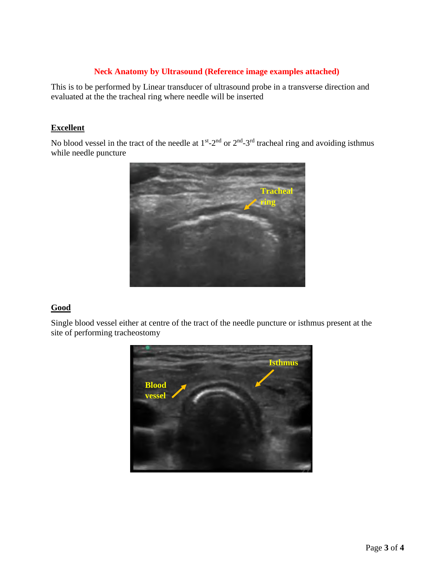#### **Neck Anatomy by Ultrasound (Reference image examples attached)**

This is to be performed by Linear transducer of ultrasound probe in a transverse direction and evaluated at the the tracheal ring where needle will be inserted

#### **Excellent**

No blood vessel in the tract of the needle at  $1<sup>st</sup> - 2<sup>nd</sup>$  or  $2<sup>nd</sup> - 3<sup>rd</sup>$  tracheal ring and avoiding isthmus while needle puncture



#### **Good**

Single blood vessel either at centre of the tract of the needle puncture or isthmus present at the site of performing tracheostomy